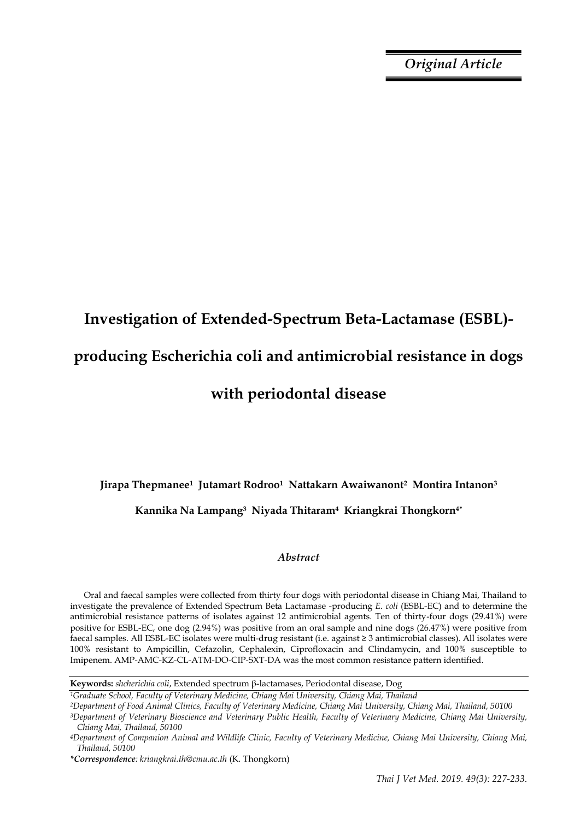*Original Article*

# **Investigation of Extended-Spectrum Beta-Lactamase (ESBL) producing Escherichia coli and antimicrobial resistance in dogs**

# **with periodontal disease**

**Jirapa Thepmanee1 Jutamart Rodroo1 Nattakarn Awaiwanont2 Montira Intanon<sup>3</sup>** 

**Kannika Na Lampang3 Niyada Thitaram4 Kriangkrai Thongkorn4\***

# *Abstract*

Oral and faecal samples were collected from thirty four dogs with periodontal disease in Chiang Mai, Thailand to investigate the prevalence of Extended Spectrum Beta Lactamase -producing *E. coli* (ESBL-EC) and to determine the antimicrobial resistance patterns of isolates against 12 antimicrobial agents. Ten of thirty-four dogs (29.41%) were positive for ESBL-EC, one dog (2.94%) was positive from an oral sample and nine dogs (26.47%) were positive from faecal samples. All ESBL-EC isolates were multi-drug resistant (i.e. against ≥ 3 antimicrobial classes). All isolates were 100% resistant to Ampicillin, Cefazolin, Cephalexin, Ciprofloxacin and Clindamycin, and 100% susceptible to Imipenem. AMP-AMC-KZ-CL-ATM-DO-CIP-SXT-DA was the most common resistance pattern identified.

**Keywords:** *shcherichia coli*, Extended spectrum β-lactamases, Periodontal disease, Dog

*<sup>1</sup>Graduate School, Faculty of Veterinary Medicine, Chiang Mai University, Chiang Mai, Thailand*

*<sup>2</sup>Department of Food Animal Clinics, Faculty of Veterinary Medicine, Chiang Mai University, Chiang Mai, Thailand, 50100*

*<sup>3</sup>Department of Veterinary Bioscience and Veterinary Public Health, Faculty of Veterinary Medicine, Chiang Mai University, Chiang Mai, Thailand, 50100*

*<sup>4</sup>Department of Companion Animal and Wildlife Clinic, Faculty of Veterinary Medicine, Chiang Mai University, Chiang Mai, Thailand, 50100*

*<sup>\*</sup>Correspondence: kriangkrai.th@cmu.ac.th* (K. Thongkorn)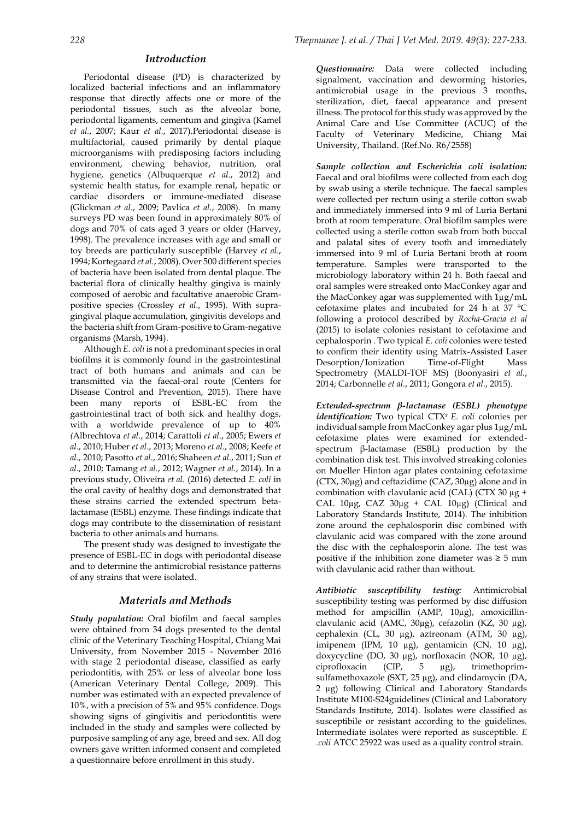## *Introduction*

Periodontal disease (PD) is characterized by localized bacterial infections and an inflammatory response that directly affects one or more of the periodontal tissues, such as the alveolar bone, periodontal ligaments, cementum and gingiva (Kamel *et al.*, 2007; Kaur *et al.*, 2017).Periodontal disease is multifactorial, caused primarily by dental plaque microorganisms with predisposing factors including environment, chewing behavior, nutrition, oral hygiene, genetics (Albuquerque *et al.*, 2012) and systemic health status, for example renal, hepatic or cardiac disorders or immune-mediated disease (Glickman *et al.*, 2009; Pavlica *et al.*, 2008). In many surveys PD was been found in approximately 80% of dogs and 70% of cats aged 3 years or older (Harvey, 1998). The prevalence increases with age and small or toy breeds are particularly susceptible (Harvey *et al.*, 1994; Kortegaard *et al.*, 2008). Over 500 different species of bacteria have been isolated from dental plaque. The bacterial flora of clinically healthy gingiva is mainly composed of aerobic and facultative anaerobic Grampositive species (Crossley *et al.*, 1995). With supragingival plaque accumulation, gingivitis develops and the bacteria shift from Gram-positive to Gram-negative organisms (Marsh, 1994).

Although *E. coli* is not a predominant species in oral biofilms it is commonly found in the gastrointestinal tract of both humans and animals and can be transmitted via the faecal-oral route (Centers for Disease Control and Prevention, 2015). There have been many reports of ESBL-EC from the gastrointestinal tract of both sick and healthy dogs, with a worldwide prevalence of up to 40% *(*Albrechtova *et al*., 2014; Carattoli *et al*., 2005; Ewers *et al*., 2010; Huber *et al*., 2013; Moreno *et al*., 2008; Keefe *et al.*, 2010; Pasotto *et al*., 2016; Shaheen *et al*., 2011; Sun *et al.*, 2010; Tamang *et al.*, 2012; Wagner *et al.*, 2014). In a previous study, Oliveira *et al.* (2016) detected *E. coli* in the oral cavity of healthy dogs and demonstrated that these strains carried the extended spectrum betalactamase (ESBL) enzyme. These findings indicate that dogs may contribute to the dissemination of resistant bacteria to other animals and humans.

The present study was designed to investigate the presence of ESBL-EC in dogs with periodontal disease and to determine the antimicrobial resistance patterns of any strains that were isolated.

# *Materials and Methods*

*Study population:* Oral biofilm and faecal samples were obtained from 34 dogs presented to the dental clinic of the Veterinary Teaching Hospital, Chiang Mai University, from November 2015 - November 2016 with stage 2 periodontal disease, classified as early periodontitis, with 25% or less of alveolar bone loss (American Veterinary Dental College, 2009). This number was estimated with an expected prevalence of 10%, with a precision of 5% and 95% confidence. Dogs showing signs of gingivitis and periodontitis were included in the study and samples were collected by purposive sampling of any age, breed and sex. All dog owners gave written informed consent and completed a questionnaire before enrollment in this study.

*Questionnaire:* Data were collected including signalment, vaccination and deworming histories, antimicrobial usage in the previous 3 months, sterilization, diet, faecal appearance and present illness. The protocol for this study was approved by the Animal Care and Use Committee (ACUC) of the Faculty of Veterinary Medicine, Chiang Mai University, Thailand. (Ref.No. R6/2558)

*Sample collection and Escherichia coli isolation:* Faecal and oral biofilms were collected from each dog by swab using a sterile technique. The faecal samples were collected per rectum using a sterile cotton swab and immediately immersed into 9 ml of Luria Bertani broth at room temperature. Oral biofilm samples were collected using a sterile cotton swab from both buccal and palatal sites of every tooth and immediately immersed into 9 ml of Luria Bertani broth at room temperature. Samples were transported to the microbiology laboratory within 24 h. Both faecal and oral samples were streaked onto MacConkey agar and the MacConkey agar was supplemented with 1µg/mL cefotaxime plates and incubated for 24 h at 37 °C following a protocol described by *Rocha-Gracia et al*  (2015) to isolate colonies resistant to cefotaxime and cephalosporin . Two typical *E. coli* colonies were tested to confirm their identity using Matrix-Assisted Laser Desorption/Ionization Time-of-Flight Mass Spectrometry (MALDI-TOF MS) (Boonyasiri *et al.*, 2014; Carbonnelle *et al.*, 2011; Gongora *et al.*, 2015).

*Extended-spectrum β-lactamase (ESBL) phenotype identification:* Two typical CTXr *E. coli* colonies per individual sample from MacConkey agar plus 1µg/mL cefotaxime plates were examined for extendedspectrum β-lactamase (ESBL) production by the combination disk test. This involved streaking colonies on Mueller Hinton agar plates containing cefotaxime (CTX, 30µg) and ceftazidime (CAZ, 30µg) alone and in combination with clavulanic acid (CAL) (CTX 30 µg + CAL  $10\mu$ g, CAZ  $30\mu$ g + CAL  $10\mu$ g) (Clinical and Laboratory Standards Institute, 2014). The inhibition zone around the cephalosporin disc combined with clavulanic acid was compared with the zone around the disc with the cephalosporin alone. The test was positive if the inhibition zone diameter was  $\geq 5$  mm with clavulanic acid rather than without.

*Antibiotic susceptibility testing:* Antimicrobial susceptibility testing was performed by disc diffusion method for ampicillin (AMP, 10µg), amoxicillinclavulanic acid (AMC, 30µg), cefazolin (KZ, 30 µg), cephalexin (CL, 30 µg), aztreonam (ATM, 30 µg), imipenem (IPM, 10 µg), gentamicin (CN, 10 µg), doxycycline (DO, 30 µg), norfloxacin (NOR, 10 µg), ciprofloxacin (CIP, 5 µg), trimethoprimsulfamethoxazole (SXT, 25 µg), and clindamycin (DA, 2 µg) following Clinical and Laboratory Standards Institute M100-S24guidelines (Clinical and Laboratory Standards Institute, 2014). Isolates were classified as susceptibile or resistant according to the guidelines. Intermediate isolates were reported as susceptible. *E .coli* ATCC 25922 was used as a quality control strain.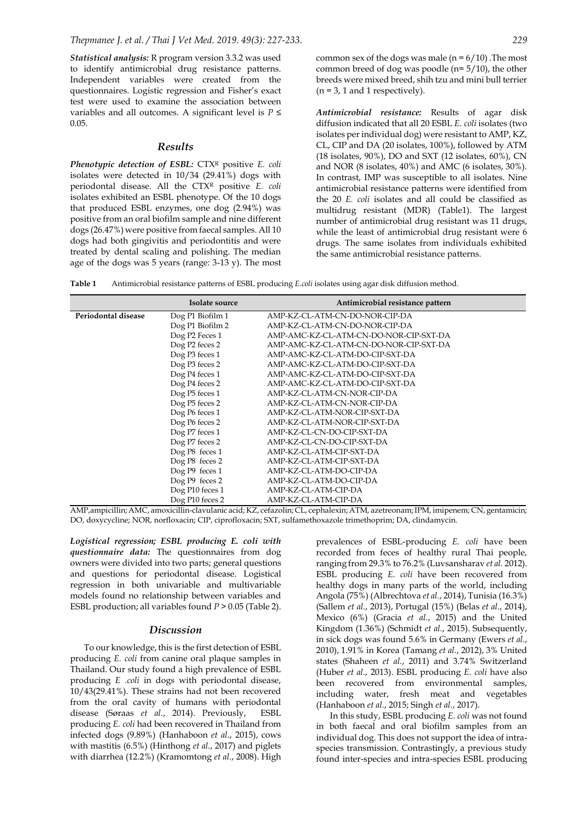*Statistical analysis:* R program version 3.3.2 was used to identify antimicrobial drug resistance patterns. Independent variables were created from the questionnaires. Logistic regression and Fisher's exact test were used to examine the association between variables and all outcomes. A significant level is *P* ≤ 0.05.

### *Results*

*Phenotypic detection of ESBL:* CTX<sup>R</sup> positive *E. coli* isolates were detected in 10/34 (29.41%) dogs with periodontal disease. All the CTX<sup>R</sup> positive *E. coli* isolates exhibited an ESBL phenotype. Of the 10 dogs that produced ESBL enzymes, one dog (2.94%) was positive from an oral biofilm sample and nine different dogs (26.47%) were positive from faecal samples. All 10 dogs had both gingivitis and periodontitis and were treated by dental scaling and polishing. The median age of the dogs was 5 years (range: 3-13 y). The most common sex of the dogs was male ( $n = 6/10$ ). The most common breed of dog was poodle (n= 5/10), the other breeds were mixed breed, shih tzu and mini bull terrier  $(n = 3, 1 \text{ and } 1 \text{ respectively}).$ 

*Antimicrobial resistance:* Results of agar disk diffusion indicated that all 20 ESBL *E. coli* isolates (two isolates per individual dog) were resistant to AMP, KZ, CL, CIP and DA (20 isolates, 100%), followed by ATM (18 isolates, 90%), DO and SXT (12 isolates, 60%), CN and NOR (8 isolates, 40%) and AMC (6 isolates, 30%). In contrast, IMP was susceptible to all isolates. Nine antimicrobial resistance patterns were identified from the 20 *E. coli* isolates and all could be classified as multidrug resistant (MDR) (Table1). The largest number of antimicrobial drug resistant was 11 drugs, while the least of antimicrobial drug resistant were 6 drugs. The same isolates from individuals exhibited the same antimicrobial resistance patterns.

**Table 1** Antimicrobial resistance patterns of ESBL producing *E.coli* isolates using agar disk diffusion method.

|                     | Isolate source             | Antimicrobial resistance pattern       |
|---------------------|----------------------------|----------------------------------------|
| Periodontal disease | Dog P1 Biofilm 1           | AMP-KZ-CL-ATM-CN-DO-NOR-CIP-DA         |
|                     | Dog P1 Biofilm 2           | AMP-KZ-CL-ATM-CN-DO-NOR-CIP-DA         |
|                     | Dog P <sub>2</sub> Feces 1 | AMP-AMC-KZ-CL-ATM-CN-DO-NOR-CIP-SXT-DA |
|                     | Dog P2 feces 2             | AMP-AMC-KZ-CL-ATM-CN-DO-NOR-CIP-SXT-DA |
|                     | Dog P3 feces 1             | AMP-AMC-KZ-CL-ATM-DO-CIP-SXT-DA        |
|                     | Dog P3 feces 2             | AMP-AMC-KZ-CL-ATM-DO-CIP-SXT-DA        |
|                     | Dog P4 feces 1             | AMP-AMC-KZ-CL-ATM-DO-CIP-SXT-DA        |
|                     | Dog P4 feces 2             | AMP-AMC-KZ-CL-ATM-DO-CIP-SXT-DA        |
|                     | Dog P5 feces 1             | AMP-KZ-CL-ATM-CN-NOR-CIP-DA            |
|                     | Dog P5 feces 2             | AMP-KZ-CL-ATM-CN-NOR-CIP-DA            |
|                     | Dog P6 feces 1             | AMP-KZ-CL-ATM-NOR-CIP-SXT-DA           |
|                     | Dog P6 feces 2             | AMP-KZ-CL-ATM-NOR-CIP-SXT-DA           |
|                     | Dog P7 feces 1             | AMP-KZ-CL-CN-DO-CIP-SXT-DA             |
|                     | Dog P7 feces 2             | AMP-KZ-CL-CN-DO-CIP-SXT-DA             |
|                     | Dog P8 feces 1             | AMP-KZ-CL-ATM-CIP-SXT-DA               |
|                     | Dog P8 feces 2             | AMP-KZ-CL-ATM-CIP-SXT-DA               |
|                     | Dog P9 feces 1             | AMP-KZ-CL-ATM-DO-CIP-DA                |
|                     | Dog P9 feces 2             | AMP-KZ-CL-ATM-DO-CIP-DA                |
|                     | Dog P10 feces 1            | AMP-KZ-CL-ATM-CIP-DA                   |
|                     | Dog P10 feces 2            | AMP-KZ-CL-ATM-CIP-DA                   |

AMP,ampicillin; AMC, amoxicillin-clavulanic acid; KZ, cefazolin; CL, cephalexin; ATM, azetreonam; IPM, imipenem; CN, gentamicin; DO, doxycycline; NOR, norfloxacin; CIP, ciprofloxacin; SXT, sulfamethoxazole trimethoprim; DA, clindamycin.

*Logistical regression; ESBL producing E. coli with questionnaire data:* The questionnaires from dog owners were divided into two parts; general questions and questions for periodontal disease. Logistical regression in both univariable and multivariable models found no relationship between variables and ESBL production; all variables found *P* > 0.05 (Table 2).

#### *Discussion*

To our knowledge, this is the first detection of ESBL producing *E. coli* from canine oral plaque samples in Thailand. Our study found a high prevalence of ESBL producing *E .coli* in dogs with periodontal disease, 10/43(29.41%). These strains had not been recovered from the oral cavity of humans with periodontal disease (Søraas *et al.*, 2014). Previously, ESBL producing *E. coli* had been recovered in Thailand from infected dogs (9.89%) (Hanhaboon *et al.*, 2015), cows with mastitis (6.5%) (Hinthong *et al.*, 2017) and piglets with diarrhea (12.2%) (Kramomtong *et al.*, 2008). High

prevalences of ESBL-producing *E. coli* have been recorded from feces of healthy rural Thai people, ranging from 29.3% to 76.2% (Luvsansharav *et al.* 2012). ESBL producing *E. coli* have been recovered from healthy dogs in many parts of the world, including Angola (75%) (Albrechtova *et al.*, 2014), Tunisia (16.3%) (Sallem *et al.*, 2013), Portugal (15%) (Belas *et al.*, 2014), Mexico (6%) (Gracia *et al.*, 2015) and the United Kingdom (1.36%) (Schmidt *et al.*, 2015). Subsequently, in sick dogs was found 5.6% in Germany (Ewers *et al.*, 2010), 1.91% in Korea (Tamang *et al.*, 2012), 3% United states (Shaheen *et al.*, 2011) and 3.74% Switzerland (Huber *et al.*, 2013). ESBL producing *E. coli* have also been recovered from environmental samples, including water, fresh meat and vegetables (Hanhaboon *et al.*, 2015; Singh *et al.*, 2017).

In this study, ESBL producing *E. coli* was not found in both faecal and oral biofilm samples from an individual dog. This does not support the idea of intraspecies transmission. Contrastingly, a previous study found inter-species and intra-species ESBL producing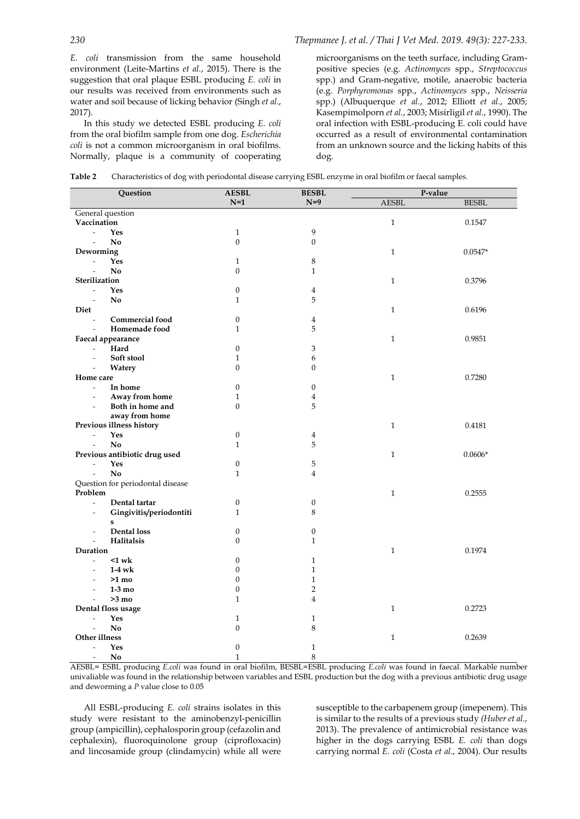*E. coli* transmission from the same household environment (Leite-Martins *et al.*, 2015). There is the suggestion that oral plaque ESBL producing *E. coli* in our results was received from environments such as water and soil because of licking behavior (Singh *et al.*, 2017).

In this study we detected ESBL producing *E. coli* from the oral biofilm sample from one dog. *Escherichia coli* is not a common microorganism in oral biofilms. Normally, plaque is a community of cooperating microorganisms on the teeth surface, including Grampositive species (e.g. *Actinomyces* spp., *Streptococcus*  spp.) and Gram-negative, motile, anaerobic bacteria (e.g. *Porphyromonas* spp., *Actinomyces* spp., *Neisseria*  spp.) (Albuquerque *et al.*, 2012; Elliott *et al.*, 2005; Kasempimolporn *et al.*, 2003; Misirligil *et al.*, 1990). The oral infection with ESBL-producing E. coli could have occurred as a result of environmental contamination from an unknown source and the licking habits of this dog.

| <b>Table 2</b> |  | Characteristics of dog with periodontal disease carrying ESBL enzyme in oral biofilm or faecal samples. |  |
|----------------|--|---------------------------------------------------------------------------------------------------------|--|
|----------------|--|---------------------------------------------------------------------------------------------------------|--|

| Question                                            | <b>AESBL</b>     | <b>BESBL</b>     | P-value      |              |  |
|-----------------------------------------------------|------------------|------------------|--------------|--------------|--|
|                                                     | $N=1$            | $N=9$            | <b>AESBL</b> | <b>BESBL</b> |  |
| General question                                    |                  |                  |              |              |  |
| Vaccination                                         |                  |                  | $\mathbf{1}$ | 0.1547       |  |
| Yes<br>$\blacksquare$                               | $\mathbf{1}$     | 9                |              |              |  |
| No<br>$\blacksquare$                                | $\mathbf{0}$     | $\overline{0}$   |              |              |  |
| Deworming                                           |                  |                  | $\mathbf{1}$ | $0.0547*$    |  |
| Yes<br>$\blacksquare$                               | $\mathbf{1}$     | 8                |              |              |  |
| No                                                  | $\boldsymbol{0}$ | $\mathbf{1}$     |              |              |  |
| Sterilization                                       |                  |                  | $\mathbf{1}$ | 0.3796       |  |
| Yes<br>$\mathbb{L}$                                 | $\boldsymbol{0}$ | 4                |              |              |  |
| No<br>$\overline{a}$                                | $\mathbf{1}$     | 5                | $\mathbf{1}$ |              |  |
| Diet<br><b>Commercial food</b><br>$\overline{a}$    | $\boldsymbol{0}$ | $\overline{4}$   |              | 0.6196       |  |
| Homemade food<br>$\overline{\phantom{a}}$           | $\mathbf{1}$     | 5                |              |              |  |
| Faecal appearance                                   |                  |                  | $\mathbf{1}$ | 0.9851       |  |
| Hard<br>$\blacksquare$                              | $\boldsymbol{0}$ | 3                |              |              |  |
| Soft stool<br>$\overline{\phantom{a}}$              | $\mathbf{1}$     | 6                |              |              |  |
| Watery                                              | $\mathbf{0}$     | 0                |              |              |  |
| Home care                                           |                  |                  | $\mathbf{1}$ | 0.7280       |  |
| In home<br>$\Box$                                   | $\mathbf{0}$     | $\boldsymbol{0}$ |              |              |  |
| Away from home<br>$\overline{\phantom{a}}$          | $\mathbf{1}$     | $\overline{4}$   |              |              |  |
| Both in home and<br>$\overline{\phantom{a}}$        | $\overline{0}$   | 5                |              |              |  |
| away from home                                      |                  |                  |              |              |  |
| Previous illness history                            |                  |                  | $\mathbf{1}$ | 0.4181       |  |
| Yes<br>$\overline{\phantom{a}}$                     | $\boldsymbol{0}$ | 4                |              |              |  |
| No<br>$\blacksquare$                                | $\mathbf{1}$     | 5                |              |              |  |
| Previous antibiotic drug used                       |                  |                  | $\mathbf{1}$ | $0.0606*$    |  |
| Yes<br>$\overline{\phantom{a}}$                     | $\boldsymbol{0}$ | 5                |              |              |  |
| No                                                  | $\mathbf{1}$     | $\overline{4}$   |              |              |  |
| Question for periodontal disease                    |                  |                  |              |              |  |
| Problem                                             |                  |                  | $\mathbf{1}$ | 0.2555       |  |
| $\frac{1}{2}$<br>Dental tartar                      | $\boldsymbol{0}$ | $\boldsymbol{0}$ |              |              |  |
| Gingivitis/periodontiti<br>$\overline{\phantom{a}}$ | $\mathbf{1}$     | 8                |              |              |  |
| s<br>Dental loss<br>$\overline{\phantom{a}}$        | $\boldsymbol{0}$ | $\boldsymbol{0}$ |              |              |  |
| Halitalsis<br>$\overline{a}$                        | $\mathbf{0}$     | $\mathbf{1}$     |              |              |  |
| Duration                                            |                  |                  | $\mathbf{1}$ | 0.1974       |  |
| $1$ wk<br>$\overline{a}$                            | $\boldsymbol{0}$ | $\mathbf{1}$     |              |              |  |
| $1-4$ wk<br>$\blacksquare$                          | $\mathbf{0}$     | $\mathbf{1}$     |              |              |  |
| $>1$ mo<br>$\overline{\phantom{a}}$                 | $\boldsymbol{0}$ | $\mathbf{1}$     |              |              |  |
| $1-3$ mo<br>$\blacksquare$                          | $\boldsymbol{0}$ | $\overline{2}$   |              |              |  |
| $>3$ mo<br>$\overline{\phantom{a}}$                 | $\mathbf{1}$     | $\overline{4}$   |              |              |  |
| Dental floss usage                                  |                  |                  | $\mathbf{1}$ | 0.2723       |  |
| Yes<br>$\overline{a}$                               | $\mathbf{1}$     | $\mathbf{1}$     |              |              |  |
| No<br>$\overline{\phantom{a}}$                      | $\boldsymbol{0}$ | 8                |              |              |  |
| Other illness                                       |                  |                  | $\mathbf{1}$ | 0.2639       |  |
| Yes<br>$\overline{\phantom{a}}$                     | $\boldsymbol{0}$ | $\mathbf{1}$     |              |              |  |
| N <sub>0</sub><br>$\blacksquare$                    | $\mathbf{1}$     | 8                |              |              |  |

AESBL= ESBL producing *E.coli* was found in oral biofilm, BESBL=ESBL producing *E.coli* was found in faecal. Markable number univaliable was found in the relationship between variables and ESBL production but the dog with a previous antibiotic drug usage and deworming a *P* value close to 0.05

All ESBL-producing *E. coli* strains isolates in this study were resistant to the aminobenzyl-penicillin group (ampicillin), cephalosporin group (cefazolin and cephalexin), fluoroquinolone group (ciprofloxacin) and lincosamide group (clindamycin) while all were

susceptible to the carbapenem group (imepenem). This is similar to the results of a previous study *(Huber et al.*, 2013). The prevalence of antimicrobial resistance was higher in the dogs carrying ESBL *E. coli* than dogs carrying normal *E. coli* (Costa *et al.*, 2004). Our results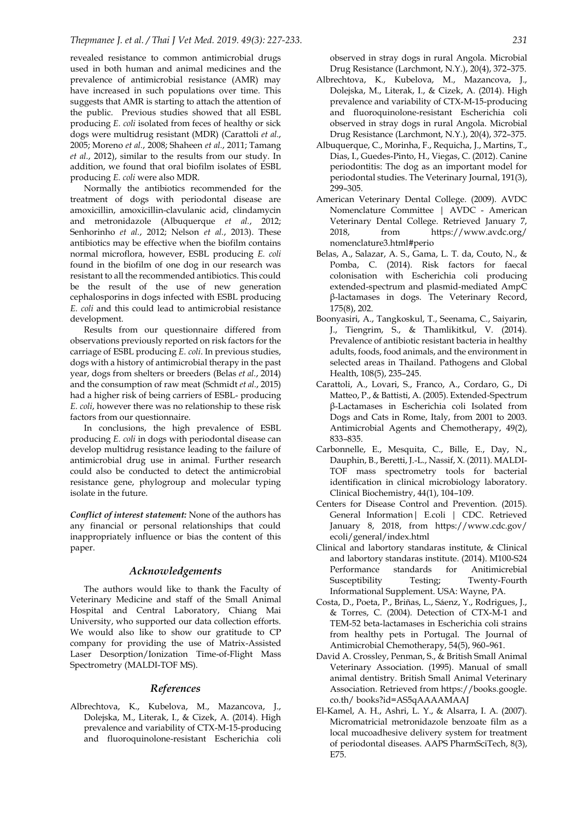revealed resistance to common antimicrobial drugs used in both human and animal medicines and the prevalence of antimicrobial resistance (AMR) may have increased in such populations over time. This suggests that AMR is starting to attach the attention of the public. Previous studies showed that all ESBL producing *E. coli* isolated from feces of healthy or sick dogs were multidrug resistant (MDR) (Carattoli *et al.*, 2005; Moreno *et al.*, 2008; Shaheen *et al.*, 2011; Tamang *et al.*, 2012), similar to the results from our study. In addition, we found that oral biofilm isolates of ESBL producing *E. coli* were also MDR.

Normally the antibiotics recommended for the treatment of dogs with periodontal disease are amoxicillin, amoxicillin-clavulanic acid, clindamycin and metronidazole (Albuquerque *et al.*, 2012; Senhorinho *et al.*, 2012; Nelson *et al.*, 2013). These antibiotics may be effective when the biofilm contains normal microflora, however, ESBL producing *E. coli* found in the biofilm of one dog in our research was resistant to all the recommended antibiotics. This could be the result of the use of new generation cephalosporins in dogs infected with ESBL producing *E. coli* and this could lead to antimicrobial resistance development.

Results from our questionnaire differed from observations previously reported on risk factors for the carriage of ESBL producing *E. coli*. In previous studies, dogs with a history of antimicrobial therapy in the past year, dogs from shelters or breeders (Belas *et al.*, 2014) and the consumption of raw meat (Schmidt *et al.*, 2015) had a higher risk of being carriers of ESBL- producing *E. coli*, however there was no relationship to these risk factors from our questionnaire.

In conclusions, the high prevalence of ESBL producing *E. coli* in dogs with periodontal disease can develop multidrug resistance leading to the failure of antimicrobial drug use in animal. Further research could also be conducted to detect the antimicrobial resistance gene, phylogroup and molecular typing isolate in the future.

*Conflict of interest statement:* None of the authors has any financial or personal relationships that could inappropriately influence or bias the content of this paper.

#### *Acknowledgements*

The authors would like to thank the Faculty of Veterinary Medicine and staff of the Small Animal Hospital and Central Laboratory, Chiang Mai University, who supported our data collection efforts. We would also like to show our gratitude to CP company for providing the use of Matrix-Assisted Laser Desorption/Ionization Time-of-Flight Mass Spectrometry (MALDI-TOF MS).

# *References*

Albrechtova, K., Kubelova, M., Mazancova, J., Dolejska, M., Literak, I., & Cizek, A. (2014). High prevalence and variability of CTX-M-15-producing and fluoroquinolone-resistant Escherichia coli observed in stray dogs in rural Angola. Microbial Drug Resistance (Larchmont, N.Y.), 20(4), 372–375.

- Albrechtova, K., Kubelova, M., Mazancova, J., Dolejska, M., Literak, I., & Cizek, A. (2014). High prevalence and variability of CTX-M-15-producing and fluoroquinolone-resistant Escherichia coli observed in stray dogs in rural Angola. Microbial Drug Resistance (Larchmont, N.Y.), 20(4), 372–375.
- Albuquerque, C., Morinha, F., Requicha, J., Martins, T., Dias, I., Guedes-Pinto, H., Viegas, C. (2012). Canine periodontitis: The dog as an important model for periodontal studies. The Veterinary Journal, 191(3), 299–305.
- American Veterinary Dental College. (2009). AVDC Nomenclature Committee | AVDC - American Veterinary Dental College. Retrieved January 7, 2018, from https://www.avdc.org/ nomenclature3.html#perio
- Belas, A., Salazar, A. S., Gama, L. T. da, Couto, N., & Pomba, C. (2014). Risk factors for faecal colonisation with Escherichia coli producing extended-spectrum and plasmid-mediated AmpC β-lactamases in dogs. The Veterinary Record, 175(8), 202.
- Boonyasiri, A., Tangkoskul, T., Seenama, C., Saiyarin, J., Tiengrim, S., & Thamlikitkul, V. (2014). Prevalence of antibiotic resistant bacteria in healthy adults, foods, food animals, and the environment in selected areas in Thailand. Pathogens and Global Health, 108(5), 235–245.
- Carattoli, A., Lovari, S., Franco, A., Cordaro, G., Di Matteo, P., & Battisti, A. (2005). Extended-Spectrum β-Lactamases in Escherichia coli Isolated from Dogs and Cats in Rome, Italy, from 2001 to 2003. Antimicrobial Agents and Chemotherapy, 49(2), 833–835.
- Carbonnelle, E., Mesquita, C., Bille, E., Day, N., Dauphin, B., Beretti, J.-L., Nassif, X. (2011). MALDI-TOF mass spectrometry tools for bacterial identification in clinical microbiology laboratory. Clinical Biochemistry, 44(1), 104–109.
- Centers for Disease Control and Prevention. (2015). General Information| E.coli | CDC. Retrieved January 8, 2018, from https://www.cdc.gov/ ecoli/general/index.html
- Clinical and labortory standaras institute, & Clinical and labortory standaras institute. (2014). M100-S24 Performance standards for Anitimicrebial Susceptibility Testing; Twenty-Fourth Informational Supplement. USA: Wayne, PA.
- Costa, D., Poeta, P., Briñas, L., Sáenz, Y., Rodrigues, J., & Torres, C. (2004). Detection of CTX-M-1 and TEM-52 beta-lactamases in Escherichia coli strains from healthy pets in Portugal. The Journal of Antimicrobial Chemotherapy, 54(5), 960–961.
- David A. Crossley, Penman, S., & British Small Animal Veterinary Association. (1995). Manual of small animal dentistry. British Small Animal Veterinary Association. Retrieved from https://books.google. co.th/ books?id=AS5qAAAAMAAJ
- El-Kamel, A. H., Ashri, L. Y., & Alsarra, I. A. (2007). Micromatricial metronidazole benzoate film as a local mucoadhesive delivery system for treatment of periodontal diseases. AAPS PharmSciTech, 8(3), E75.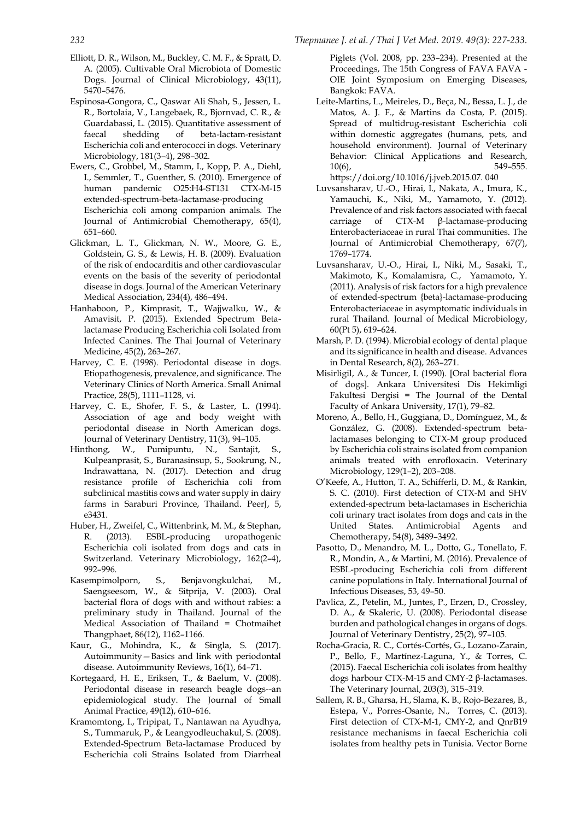- Elliott, D. R., Wilson, M., Buckley, C. M. F., & Spratt, D. A. (2005). Cultivable Oral Microbiota of Domestic Dogs. Journal of Clinical Microbiology, 43(11), 5470–5476.
- Espinosa-Gongora, C., Qaswar Ali Shah, S., Jessen, L. R., Bortolaia, V., Langebaek, R., Bjornvad, C. R., & Guardabassi, L. (2015). Quantitative assessment of faecal shedding of beta-lactam-resistant Escherichia coli and enterococci in dogs. Veterinary Microbiology, 181(3–4), 298–302.
- Ewers, C., Grobbel, M., Stamm, I., Kopp, P. A., Diehl, I., Semmler, T., Guenther, S. (2010). Emergence of human pandemic O25:H4-ST131 CTX-M-15 extended-spectrum-beta-lactamase-producing Escherichia coli among companion animals. The Journal of Antimicrobial Chemotherapy, 65(4), 651–660.
- Glickman, L. T., Glickman, N. W., Moore, G. E., Goldstein, G. S., & Lewis, H. B. (2009). Evaluation of the risk of endocarditis and other cardiovascular events on the basis of the severity of periodontal disease in dogs. Journal of the American Veterinary Medical Association, 234(4), 486–494.
- Hanhaboon, P., Kimprasit, T., Wajjwalku, W., & Amavisit, P. (2015). Extended Spectrum Betalactamase Producing Escherichia coli Isolated from Infected Canines. The Thai Journal of Veterinary Medicine, 45(2), 263–267.
- Harvey, C. E. (1998). Periodontal disease in dogs. Etiopathogenesis, prevalence, and significance. The Veterinary Clinics of North America. Small Animal Practice, 28(5), 1111–1128, vi.
- Harvey, C. E., Shofer, F. S., & Laster, L. (1994). Association of age and body weight with periodontal disease in North American dogs. Journal of Veterinary Dentistry, 11(3), 94–105.
- Hinthong, W., Pumipuntu, N., Santajit, S., Kulpeanprasit, S., Buranasinsup, S., Sookrung, N., Indrawattana, N. (2017). Detection and drug resistance profile of Escherichia coli from subclinical mastitis cows and water supply in dairy farms in Saraburi Province, Thailand. PeerJ, 5, e3431.
- Huber, H., Zweifel, C., Wittenbrink, M. M., & Stephan, R. (2013). ESBL-producing uropathogenic Escherichia coli isolated from dogs and cats in Switzerland. Veterinary Microbiology, 162(2–4), 992–996.
- Kasempimolporn, S., Benjavongkulchai, M., Saengseesom, W., & Sitprija, V. (2003). Oral bacterial flora of dogs with and without rabies: a preliminary study in Thailand. Journal of the Medical Association of Thailand = Chotmaihet Thangphaet, 86(12), 1162–1166.
- Kaur, G., Mohindra, K., & Singla, S. (2017). Autoimmunity—Basics and link with periodontal disease. Autoimmunity Reviews, 16(1), 64–71.
- Kortegaard, H. E., Eriksen, T., & Baelum, V. (2008). Periodontal disease in research beagle dogs--an epidemiological study. The Journal of Small Animal Practice, 49(12), 610–616.
- Kramomtong, I., Tripipat, T., Nantawan na Ayudhya, S., Tummaruk, P., & Leangyodleuchakul, S. (2008). Extended-Spectrum Beta-lactamase Produced by Escherichia coli Strains Isolated from Diarrheal

Piglets (Vol. 2008, pp. 233–234). Presented at the Proceedings, The 15th Congress of FAVA FAVA - OIE Joint Symposium on Emerging Diseases, Bangkok: FAVA.

Leite-Martins, L., Meireles, D., Beça, N., Bessa, L. J., de Matos, A. J. F., & Martins da Costa, P. (2015). Spread of multidrug-resistant Escherichia coli within domestic aggregates (humans, pets, and household environment). Journal of Veterinary Behavior: Clinical Applications and Research, 10(6), 549–555. https://doi.org/10.1016/j.jveb.2015.07. 040

Luvsansharav, U.-O., Hirai, I., Nakata, A., Imura, K., Yamauchi, K., Niki, M., Yamamoto, Y. (2012). Prevalence of and risk factors associated with faecal carriage of CTX-M β-lactamase-producing Enterobacteriaceae in rural Thai communities. The Journal of Antimicrobial Chemotherapy, 67(7), 1769–1774.

- Luvsansharav, U.-O., Hirai, I., Niki, M., Sasaki, T., Makimoto, K., Komalamisra, C., Yamamoto, Y. (2011). Analysis of risk factors for a high prevalence of extended-spectrum {beta}-lactamase-producing Enterobacteriaceae in asymptomatic individuals in rural Thailand. Journal of Medical Microbiology, 60(Pt 5), 619–624.
- Marsh, P. D. (1994). Microbial ecology of dental plaque and its significance in health and disease. Advances in Dental Research, 8(2), 263–271.
- Misirligil, A., & Tuncer, I. (1990). [Oral bacterial flora of dogs]. Ankara Universitesi Dis Hekimligi Fakultesi Dergisi = The Journal of the Dental Faculty of Ankara University, 17(1), 79–82.
- Moreno, A., Bello, H., Guggiana, D., Domínguez, M., & González, G. (2008). Extended-spectrum betalactamases belonging to CTX-M group produced by Escherichia coli strains isolated from companion animals treated with enrofloxacin. Veterinary Microbiology, 129(1–2), 203–208.
- O'Keefe, A., Hutton, T. A., Schifferli, D. M., & Rankin, S. C. (2010). First detection of CTX-M and SHV extended-spectrum beta-lactamases in Escherichia coli urinary tract isolates from dogs and cats in the United States. Antimicrobial Agents and Chemotherapy, 54(8), 3489–3492.
- Pasotto, D., Menandro, M. L., Dotto, G., Tonellato, F. R., Mondin, A., & Martini, M. (2016). Prevalence of ESBL-producing Escherichia coli from different canine populations in Italy. International Journal of Infectious Diseases, 53, 49–50.
- Pavlica, Z., Petelin, M., Juntes, P., Erzen, D., Crossley, D. A., & Skaleric, U. (2008). Periodontal disease burden and pathological changes in organs of dogs. Journal of Veterinary Dentistry, 25(2), 97–105.
- Rocha-Gracia, R. C., Cortés-Cortés, G., Lozano-Zarain, P., Bello, F., Martínez-Laguna, Y., & Torres, C. (2015). Faecal Escherichia coli isolates from healthy dogs harbour CTX-M-15 and CMY-2 β-lactamases. The Veterinary Journal, 203(3), 315–319.
- Sallem, R. B., Gharsa, H., Slama, K. B., Rojo-Bezares, B., Estepa, V., Porres-Osante, N., Torres, C. (2013). First detection of CTX-M-1, CMY-2, and QnrB19 resistance mechanisms in faecal Escherichia coli isolates from healthy pets in Tunisia. Vector Borne